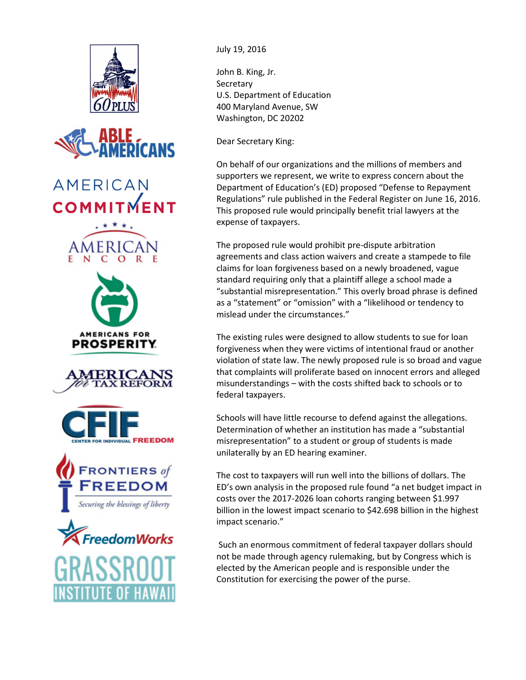



## **AMERICAN COMMITMENT**













July 19, 2016

John B. King, Jr. Secretary U.S. Department of Education 400 Maryland Avenue, SW Washington, DC 20202

Dear Secretary King:

On behalf of our organizations and the millions of members and supporters we represent, we write to express concern about the Department of Education's (ED) proposed "Defense to Repayment Regulations" rule published in the Federal Register on June 16, 2016. This proposed rule would principally benefit trial lawyers at the expense of taxpayers.

The proposed rule would prohibit pre-dispute arbitration agreements and class action waivers and create a stampede to file claims for loan forgiveness based on a newly broadened, vague standard requiring only that a plaintiff allege a school made a "substantial misrepresentation." This overly broad phrase is defined as a "statement" or "omission" with a "likelihood or tendency to mislead under the circumstances."

The existing rules were designed to allow students to sue for loan forgiveness when they were victims of intentional fraud or another violation of state law. The newly proposed rule is so broad and vague that complaints will proliferate based on innocent errors and alleged misunderstandings – with the costs shifted back to schools or to federal taxpayers.

Schools will have little recourse to defend against the allegations. Determination of whether an institution has made a "substantial misrepresentation" to a student or group of students is made unilaterally by an ED hearing examiner.

The cost to taxpayers will run well into the billions of dollars. The ED's own analysis in the proposed rule found "a net budget impact in costs over the 2017-2026 loan cohorts ranging between \$1.997 billion in the lowest impact scenario to \$42.698 billion in the highest impact scenario."

 Such an enormous commitment of federal taxpayer dollars should not be made through agency rulemaking, but by Congress which is elected by the American people and is responsible under the Constitution for exercising the power of the purse.